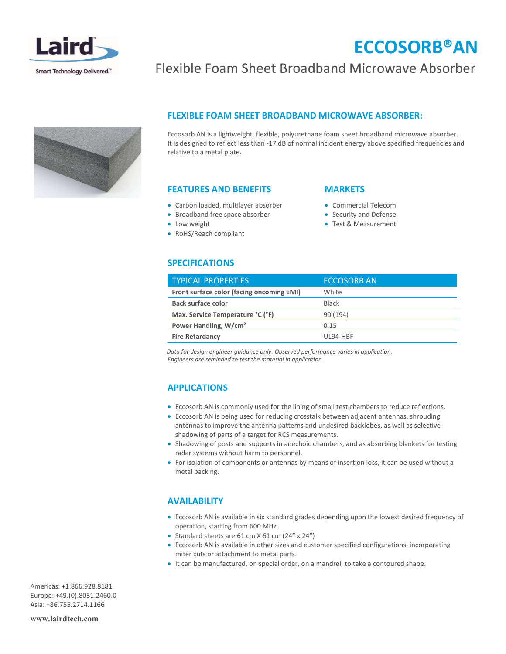

# ECCOSORB®AN

### Flexible Foam Sheet Broadband Microwave Absorber



#### FLEXIBLE FOAM SHEET BROADBAND MICROWAVE ABSORBER:

Eccosorb AN is a lightweight, flexible, polyurethane foam sheet broadband microwave absorber. It is designed to reflect less than -17 dB of normal incident energy above specified frequencies and relative to a metal plate.

#### FEATURES AND BENEFITS

- Carbon loaded, multilayer absorber
- Broadband free space absorber
- Low weight
- RoHS/Reach compliant

#### **MARKETS**

- Commercial Telecom
- Security and Defense
- Test & Measurement

### SPECIFICATIONS

| <b>TYPICAL PROPERTIES</b>                 | <b>ECCOSORB AN</b> |
|-------------------------------------------|--------------------|
| Front surface color (facing oncoming EMI) | White              |
| Back surface color                        | <b>Black</b>       |
| Max. Service Temperature °C (°F)          | 90 (194)           |
| Power Handling, W/cm <sup>2</sup>         | 0.15               |
| <b>Fire Retardancy</b>                    | UI 94-HBF          |

Data for design engineer guidance only. Observed performance varies in application. Engineers are reminded to test the material in application.

#### APPLICATIONS

- Eccosorb AN is commonly used for the lining of small test chambers to reduce reflections.
- Eccosorb AN is being used for reducing crosstalk between adjacent antennas, shrouding antennas to improve the antenna patterns and undesired backlobes, as well as selective shadowing of parts of a target for RCS measurements.
- Shadowing of posts and supports in anechoic chambers, and as absorbing blankets for testing radar systems without harm to personnel.
- For isolation of components or antennas by means of insertion loss, it can be used without a metal backing.

#### AVAILABILITY

- Eccosorb AN is available in six standard grades depending upon the lowest desired frequency of operation, starting from 600 MHz.
- Standard sheets are  $61$  cm  $X$   $61$  cm  $(24'' \times 24'')$
- Eccosorb AN is available in other sizes and customer specified configurations, incorporating miter cuts or attachment to metal parts.
- It can be manufactured, on special order, on a mandrel, to take a contoured shape.

Americas: +1.866.928.8181 Europe: +49.(0).8031.2460.0 Asia: +86.755.2714.1166

www.lairdtech.com